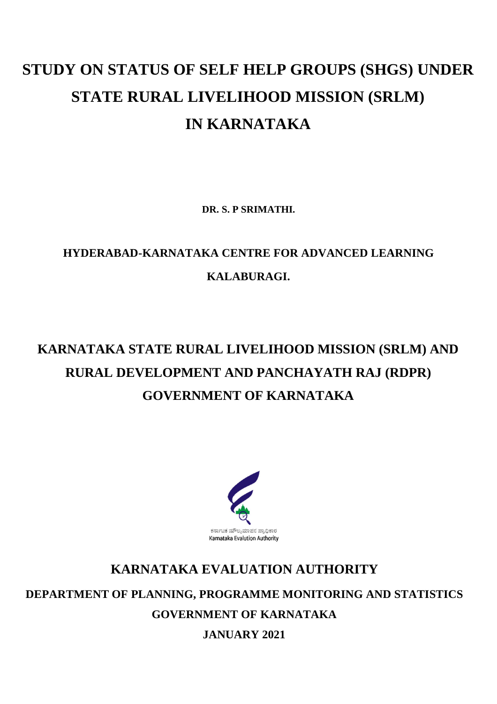# **STUDY ON STATUS OF SELF HELP GROUPS (SHGS) UNDER STATE RURAL LIVELIHOOD MISSION (SRLM) IN KARNATAKA**

**DR. S. P SRIMATHI.**

## **HYDERABAD-KARNATAKA CENTRE FOR ADVANCED LEARNING KALABURAGI.**

# **KARNATAKA STATE RURAL LIVELIHOOD MISSION (SRLM) AND RURAL DEVELOPMENT AND PANCHAYATH RAJ (RDPR) GOVERNMENT OF KARNATAKA**



## **KARNATAKA EVALUATION AUTHORITY**

**DEPARTMENT OF PLANNING, PROGRAMME MONITORING AND STATISTICS**

**GOVERNMENT OF KARNATAKA**

**JANUARY 2021**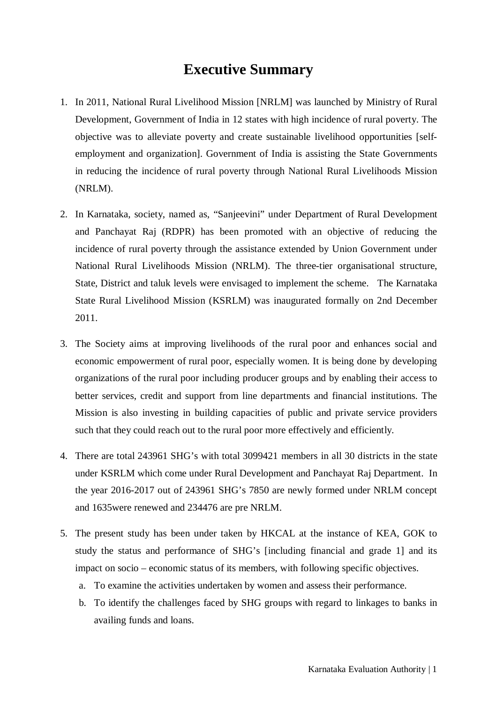### **Executive Summary**

- 1. In 2011, National Rural Livelihood Mission [NRLM] was launched by Ministry of Rural Development, Government of India in 12 states with high incidence of rural poverty. The objective was to alleviate poverty and create sustainable livelihood opportunities [selfemployment and organization]. Government of India is assisting the State Governments in reducing the incidence of rural poverty through National Rural Livelihoods Mission (NRLM).
- 2. In Karnataka, society, named as, "Sanjeevini" under Department of Rural Development and Panchayat Raj (RDPR) has been promoted with an objective of reducing the incidence of rural poverty through the assistance extended by Union Government under National Rural Livelihoods Mission (NRLM). The three-tier organisational structure, State, District and taluk levels were envisaged to implement the scheme. The Karnataka State Rural Livelihood Mission (KSRLM) was inaugurated formally on 2nd December 2011.
- 3. The Society aims at improving livelihoods of the rural poor and enhances social and economic empowerment of rural poor, especially women. It is being done by developing organizations of the rural poor including producer groups and by enabling their access to better services, credit and support from line departments and financial institutions. The Mission is also investing in building capacities of public and private service providers such that they could reach out to the rural poor more effectively and efficiently.
- 4. There are total 243961 SHG's with total 3099421 members in all 30 districts in the state under KSRLM which come under Rural Development and Panchayat Raj Department. In the year 2016-2017 out of 243961 SHG's 7850 are newly formed under NRLM concept and 1635were renewed and 234476 are pre NRLM.
- 5. The present study has been under taken by HKCAL at the instance of KEA, GOK to study the status and performance of SHG's [including financial and grade 1] and its impact on socio – economic status of its members, with following specific objectives.
	- a. To examine the activities undertaken by women and assess their performance.
	- b. To identify the challenges faced by SHG groups with regard to linkages to banks in availing funds and loans.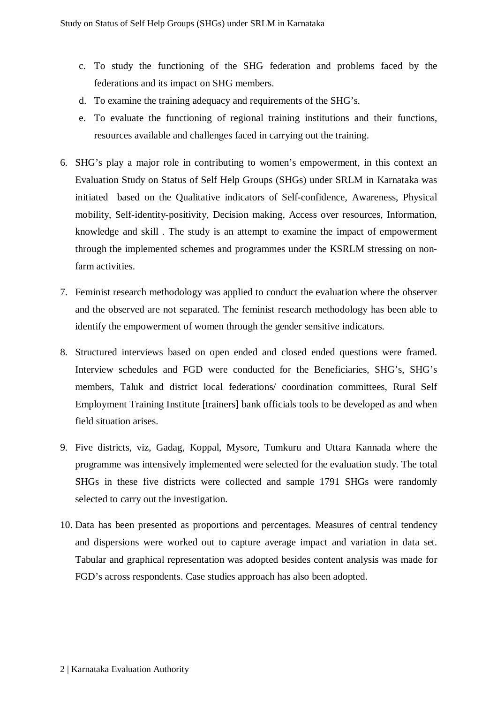- c. To study the functioning of the SHG federation and problems faced by the federations and its impact on SHG members.
- d. To examine the training adequacy and requirements of the SHG's.
- e. To evaluate the functioning of regional training institutions and their functions, resources available and challenges faced in carrying out the training.
- 6. SHG's play a major role in contributing to women's empowerment, in this context an Evaluation Study on Status of Self Help Groups (SHGs) under SRLM in Karnataka was initiated based on the Qualitative indicators of Self-confidence, Awareness, Physical mobility, Self-identity-positivity, Decision making, Access over resources, Information, knowledge and skill . The study is an attempt to examine the impact of empowerment through the implemented schemes and programmes under the KSRLM stressing on nonfarm activities.
- 7. Feminist research methodology was applied to conduct the evaluation where the observer and the observed are not separated. The feminist research methodology has been able to identify the empowerment of women through the gender sensitive indicators.
- 8. Structured interviews based on open ended and closed ended questions were framed. Interview schedules and FGD were conducted for the Beneficiaries, SHG's, SHG's members, Taluk and district local federations/ coordination committees, Rural Self Employment Training Institute [trainers] bank officials tools to be developed as and when field situation arises.
- 9. Five districts, viz, Gadag, Koppal, Mysore, Tumkuru and Uttara Kannada where the programme was intensively implemented were selected for the evaluation study. The total SHGs in these five districts were collected and sample 1791 SHGs were randomly selected to carry out the investigation.
- 10. Data has been presented as proportions and percentages. Measures of central tendency and dispersions were worked out to capture average impact and variation in data set. Tabular and graphical representation was adopted besides content analysis was made for FGD's across respondents. Case studies approach has also been adopted.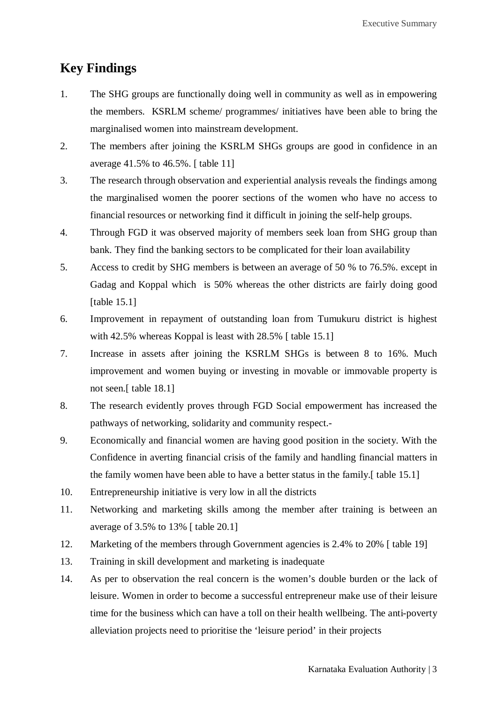### **Key Findings**

- 1. The SHG groups are functionally doing well in community as well as in empowering the members. KSRLM scheme/ programmes/ initiatives have been able to bring the marginalised women into mainstream development.
- 2. The members after joining the KSRLM SHGs groups are good in confidence in an average 41.5% to 46.5%. [ table 11]
- 3. The research through observation and experiential analysis reveals the findings among the marginalised women the poorer sections of the women who have no access to financial resources or networking find it difficult in joining the self-help groups.
- 4. Through FGD it was observed majority of members seek loan from SHG group than bank. They find the banking sectors to be complicated for their loan availability
- 5. Access to credit by SHG members is between an average of 50 % to 76.5%. except in Gadag and Koppal which is 50% whereas the other districts are fairly doing good [table 15.1]
- 6. Improvement in repayment of outstanding loan from Tumukuru district is highest with 42.5% whereas Koppal is least with 28.5% [table 15.1]
- 7. Increase in assets after joining the KSRLM SHGs is between 8 to 16%. Much improvement and women buying or investing in movable or immovable property is not seen.[ table 18.1]
- 8. The research evidently proves through FGD Social empowerment has increased the pathways of networking, solidarity and community respect.-
- 9. Economically and financial women are having good position in the society. With the Confidence in averting financial crisis of the family and handling financial matters in the family women have been able to have a better status in the family.[ table 15.1]
- 10. Entrepreneurship initiative is very low in all the districts
- 11. Networking and marketing skills among the member after training is between an average of 3.5% to 13% [ table 20.1]
- 12. Marketing of the members through Government agencies is 2.4% to 20% [ table 19]
- 13. Training in skill development and marketing is inadequate
- 14. As per to observation the real concern is the women's double burden or the lack of leisure. Women in order to become a successful entrepreneur make use of their leisure time for the business which can have a toll on their health wellbeing. The anti-poverty alleviation projects need to prioritise the 'leisure period' in their projects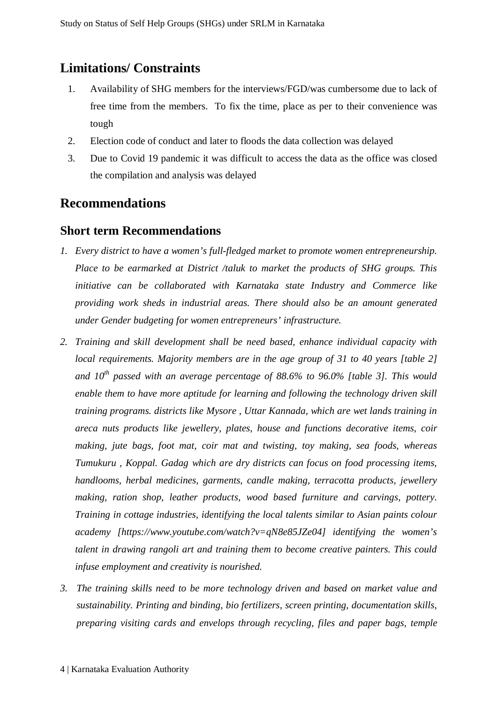#### **Limitations/ Constraints**

- 1. Availability of SHG members for the interviews/FGD/was cumbersome due to lack of free time from the members. To fix the time, place as per to their convenience was tough
- 2. Election code of conduct and later to floods the data collection was delayed
- 3. Due to Covid 19 pandemic it was difficult to access the data as the office was closed the compilation and analysis was delayed

#### **Recommendations**

#### **Short term Recommendations**

- *1. Every district to have a women's full-fledged market to promote women entrepreneurship. Place to be earmarked at District /taluk to market the products of SHG groups. This initiative can be collaborated with Karnataka state Industry and Commerce like providing work sheds in industrial areas. There should also be an amount generated under Gender budgeting for women entrepreneurs' infrastructure.*
- *2. Training and skill development shall be need based, enhance individual capacity with local requirements. Majority members are in the age group of 31 to 40 years [table 2] and 10th passed with an average percentage of 88.6% to 96.0% [table 3]. This would enable them to have more aptitude for learning and following the technology driven skill training programs. districts like Mysore , Uttar Kannada, which are wet lands training in areca nuts products like jewellery, plates, house and functions decorative items, coir making, jute bags, foot mat, coir mat and twisting, toy making, sea foods, whereas Tumukuru , Koppal. Gadag which are dry districts can focus on food processing items, handlooms, herbal medicines, garments, candle making, terracotta products, jewellery making, ration shop, leather products, wood based furniture and carvings, pottery. Training in cottage industries, identifying the local talents similar to Asian paints colour academy [https://www.youtube.com/watch?v=qN8e85JZe04] identifying the women's talent in drawing rangoli art and training them to become creative painters. This could infuse employment and creativity is nourished.*
- *3. The training skills need to be more technology driven and based on market value and sustainability. Printing and binding, bio fertilizers, screen printing, documentation skills, preparing visiting cards and envelops through recycling, files and paper bags, temple*